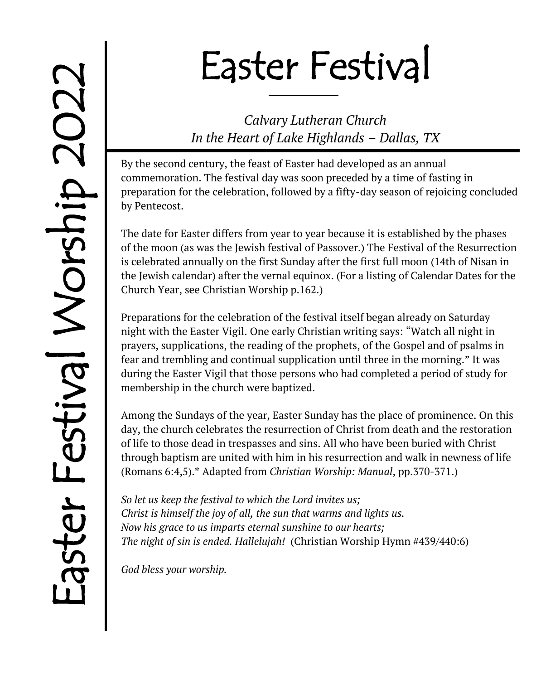# Easter Festival

*Calvary Lutheran Church In the Heart of Lake Highlands – Dallas, TX*

By the second century, the feast of Easter had developed as an annual commemoration. The festival day was soon preceded by a time of fasting in preparation for the celebration, followed by a fifty-day season of rejoicing concluded by Pentecost.

The date for Easter differs from year to year because it is established by the phases of the moon (as was the Jewish festival of Passover.) The Festival of the Resurrection is celebrated annually on the first Sunday after the first full moon (14th of Nisan in the Jewish calendar) after the vernal equinox. (For a listing of Calendar Dates for the Church Year, see Christian Worship p.162.)

Preparations for the celebration of the festival itself began already on Saturday night with the Easter Vigil. One early Christian writing says: "Watch all night in prayers, supplications, the reading of the prophets, of the Gospel and of psalms in fear and trembling and continual supplication until three in the morning." It was during the Easter Vigil that those persons who had completed a period of study for membership in the church were baptized.

Among the Sundays of the year, Easter Sunday has the place of prominence. On this day, the church celebrates the resurrection of Christ from death and the restoration of life to those dead in trespasses and sins. All who have been buried with Christ through baptism are united with him in his resurrection and walk in newness of life (Romans 6:4,5).\* Adapted from *Christian Worship: Manual*, pp.370-371.)

*So let us keep the festival to which the Lord invites us; Christ is himself the joy of all, the sun that warms and lights us. Now his grace to us imparts eternal sunshine to our hearts; The night of sin is ended. Hallelujah!* (Christian Worship Hymn #439/440:6)

*God bless your worship.*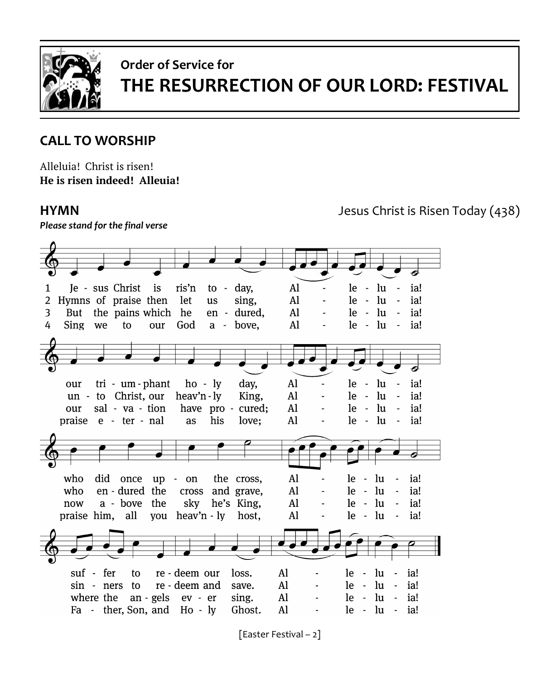

# **Order of Service for THE RESURRECTION OF OUR LORD: FESTIVAL**

### **CALL TO WORSHIP**

Alleluia! Christ is risen! **He is risen indeed! Alleuia!**

*Please stand for the final verse*

**HYMN** Jesus Christ is Risen Today (438)

Je - sus Christ is ris'n to - day, Al  $le - lu$  $\sim$ ia! 1 2 Hymns of praise then let  $le - lu$ ia! sing. Al us But the pains which he  $AI$  $le - lu$  $\sim$ ia! 3 en - dured, 4 Sing we  $AI$  $le$  -  $lu$  $-$ ia! to our God a - bove,  $le - lu$  $tri - um - phant$  $ho - ly$ day, Al ia! our un - to Christ, our heav'n-ly le - lu ia! King, Al  $\sim$ sal - va - tion  $le - lu$ ia! our have pro cured; Al praise e - ter - nal his Al  $le - lu - ia!$ as love:  $\overline{a}$ who did once up - on the cross, Al le - lu ia! who en - dured the cross and grave, Al  $le - lu$ ia! now a - bove the sky he's King, Al  $le - lu$ ia! praise him, all you heav'n  $-$  ly host, Al le - lu ia! suf - fer re - deem our loss. Al  $le - lu$ to ia! sin - ners to re - deem and save.  $A<sup>1</sup>$  $le - lu$ ia! where the an - gels ev - er  $AI$  $le - lu - ia!$ sing. Fa - ther, Son, and Ho - ly  $A<sup>1</sup>$  $le - lu - ia!$ Ghost.

[Easter Festival – 2]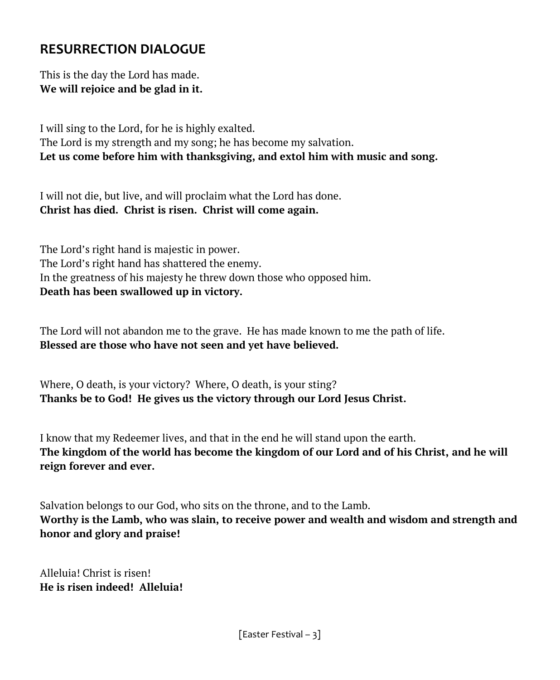### **RESURRECTION DIALOGUE**

This is the day the Lord has made. **We will rejoice and be glad in it.**

I will sing to the Lord, for he is highly exalted. The Lord is my strength and my song; he has become my salvation. **Let us come before him with thanksgiving, and extol him with music and song.**

I will not die, but live, and will proclaim what the Lord has done. **Christ has died. Christ is risen. Christ will come again.**

The Lord's right hand is majestic in power. The Lord's right hand has shattered the enemy. In the greatness of his majesty he threw down those who opposed him. **Death has been swallowed up in victory.**

The Lord will not abandon me to the grave. He has made known to me the path of life. **Blessed are those who have not seen and yet have believed.**

Where, O death, is your victory? Where, O death, is your sting? **Thanks be to God! He gives us the victory through our Lord Jesus Christ.**

I know that my Redeemer lives, and that in the end he will stand upon the earth. **The kingdom of the world has become the kingdom of our Lord and of his Christ, and he will reign forever and ever.**

Salvation belongs to our God, who sits on the throne, and to the Lamb. **Worthy is the Lamb, who was slain, to receive power and wealth and wisdom and strength and honor and glory and praise!**

Alleluia! Christ is risen! **He is risen indeed! Alleluia!**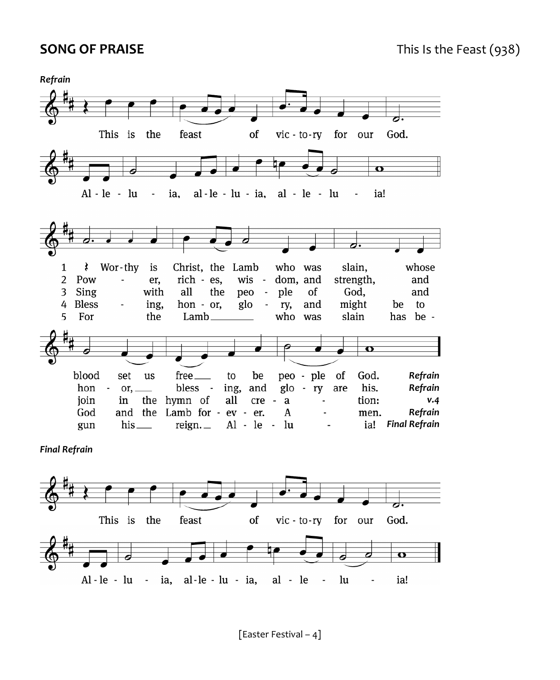

*Final Refrain*



[Easter Festival – 4]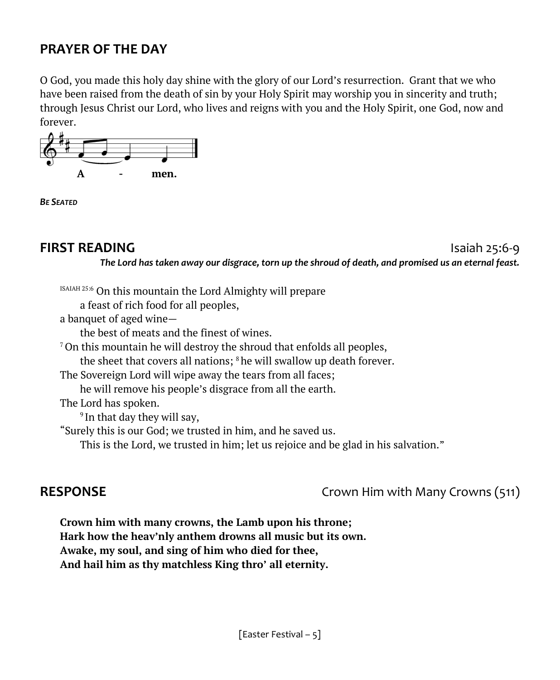### **PRAYER OF THE DAY**

O God, you made this holy day shine with the glory of our Lord's resurrection. Grant that we who have been raised from the death of sin by your Holy Spirit may worship you in sincerity and truth; through Jesus Christ our Lord, who lives and reigns with you and the Holy Spirit, one God, now and forever.



*BE SEATED*

#### **FIRST READING Islands Islands Islands Islands Islands Islands Islands Islands Islands Islands Islands Islands Islands Islands Islands Islands Islands Islands Islands Islands Islan**

*The Lord has taken away our disgrace, torn up the shroud of death, and promised us an eternal feast.*

ISAIAH 25:6 On this mountain the Lord Almighty will prepare

a feast of rich food for all peoples,

a banquet of aged wine—

the best of meats and the finest of wines.

 $7$ On this mountain he will destroy the shroud that enfolds all peoples,

the sheet that covers all nations;  $8$  he will swallow up death forever.

The Sovereign Lord will wipe away the tears from all faces;

he will remove his people's disgrace from all the earth.

The Lord has spoken.

<sup>9</sup> In that day they will say,

"Surely this is our God; we trusted in him, and he saved us.

This is the Lord, we trusted in him; let us rejoice and be glad in his salvation."

**RESPONSE** Crown Him with Many Crowns (511)

**Crown him with many crowns, the Lamb upon his throne; Hark how the heav'nly anthem drowns all music but its own. Awake, my soul, and sing of him who died for thee, And hail him as thy matchless King thro' all eternity.**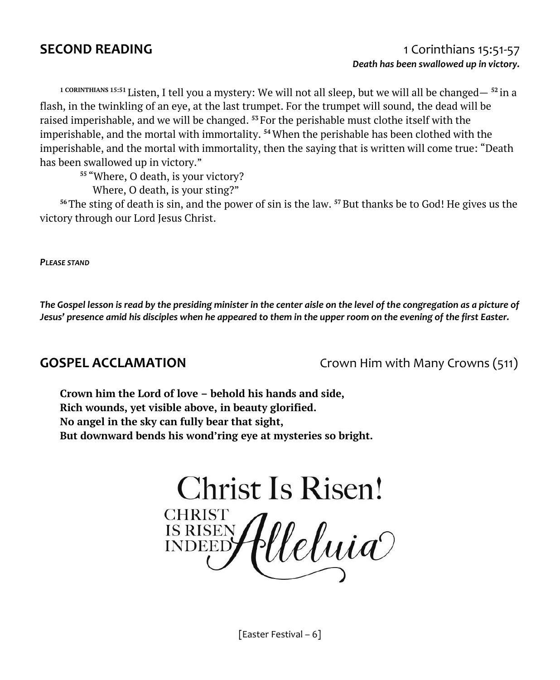**1 CORINTHIANS 15:51** Listen, I tell you a mystery: We will not all sleep, but we will all be changed— **<sup>52</sup>** in a flash, in the twinkling of an eye, at the last trumpet. For the trumpet will sound, the dead will be raised imperishable, and we will be changed. **<sup>53</sup>** For the perishable must clothe itself with the imperishable, and the mortal with immortality. **<sup>54</sup>**When the perishable has been clothed with the imperishable, and the mortal with immortality, then the saying that is written will come true: "Death has been swallowed up in victory."

**<sup>55</sup>** "Where, O death, is your victory?

Where, O death, is your sting?"

**<sup>56</sup>**The sting of death is sin, and the power of sin is the law. **<sup>57</sup>**But thanks be to God! He gives us the victory through our Lord Jesus Christ.

*PLEASE STAND*

The Gospel lesson is read by the presiding minister in the center aisle on the level of the congregation as a picture of *Jesus' presence amid his disciples when he appeared to them in the upper room on the evening of the first Easter.*

**GOSPEL ACCLAMATION** Crown Him with Many Crowns (511)

**Crown him the Lord of love – behold his hands and side, Rich wounds, yet visible above, in beauty glorified. No angel in the sky can fully bear that sight, But downward bends his wond'ring eye at mysteries so bright.**

**Christ Is Risen! CHRIST** CHRIST<br>INDEED *(lleluia*)

[Easter Festival – 6]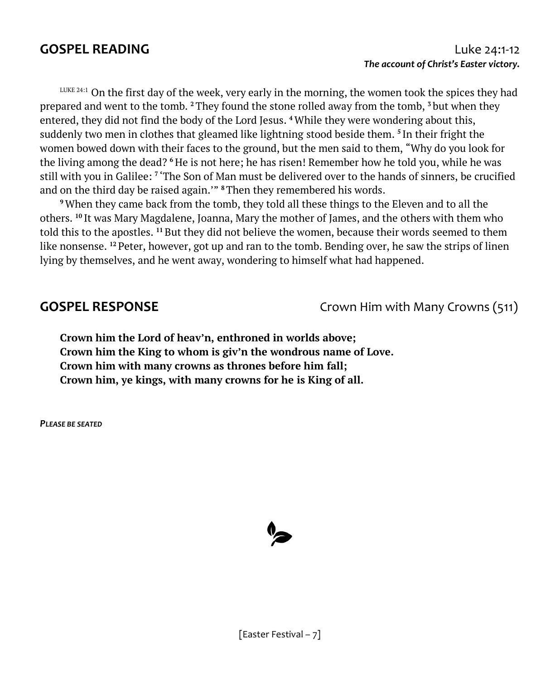$L_{\text{UKE}}$  24:1 On the first day of the week, very early in the morning, the women took the spices they had prepared and went to the tomb. **<sup>2</sup>**They found the stone rolled away from the tomb, **<sup>3</sup>** but when they entered, they did not find the body of the Lord Jesus. **<sup>4</sup>**While they were wondering about this, suddenly two men in clothes that gleamed like lightning stood beside them. **5** In their fright the women bowed down with their faces to the ground, but the men said to them, "Why do you look for the living among the dead? <sup>6</sup> He is not here; he has risen! Remember how he told you, while he was still with you in Galilee: **7** 'The Son of Man must be delivered over to the hands of sinners, be crucified and on the third day be raised again.'" **<sup>8</sup>**Then they remembered his words.

**<sup>9</sup>**When they came back from the tomb, they told all these things to the Eleven and to all the others. **<sup>10</sup>** It was Mary Magdalene, Joanna, Mary the mother of James, and the others with them who told this to the apostles. **<sup>11</sup>**But they did not believe the women, because their words seemed to them like nonsense. **<sup>12</sup>** Peter, however, got up and ran to the tomb. Bending over, he saw the strips of linen lying by themselves, and he went away, wondering to himself what had happened.

**GOSPEL RESPONSE** Crown Him with Many Crowns (511)

**Crown him the Lord of heav'n, enthroned in worlds above; Crown him the King to whom is giv'n the wondrous name of Love. Crown him with many crowns as thrones before him fall; Crown him, ye kings, with many crowns for he is King of all.**

*PLEASE BE SEATED*

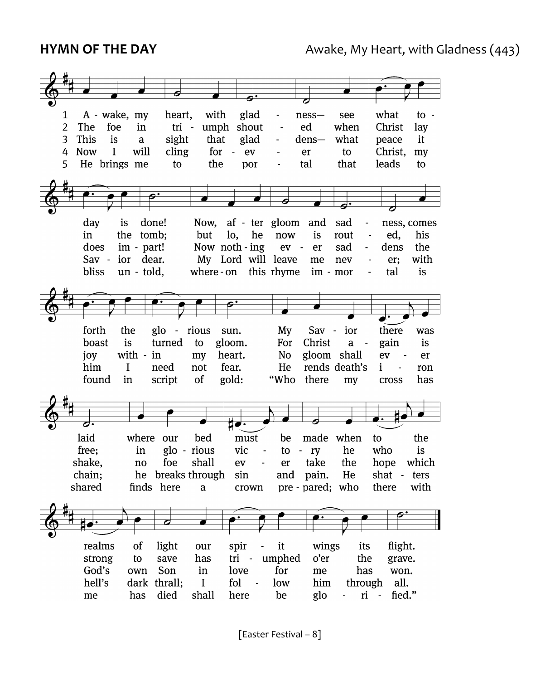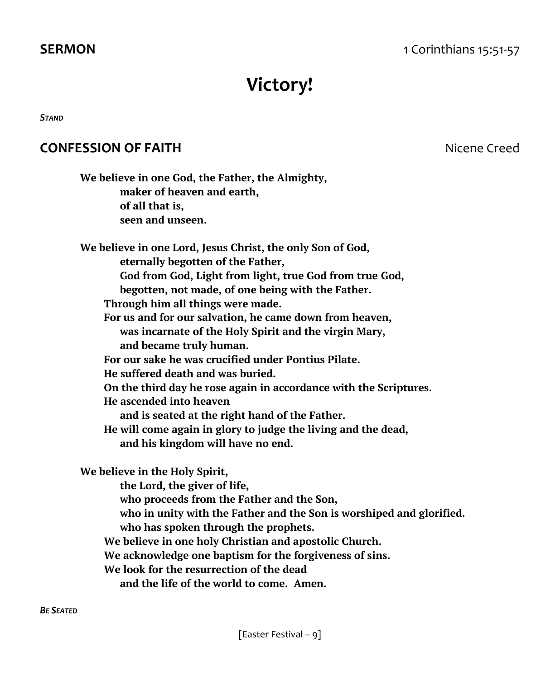# **Victory!**

*STAND*

### **CONFESSION OF FAITH Nicene** Creed

| We believe in one God, the Father, the Almighty,                     |
|----------------------------------------------------------------------|
| maker of heaven and earth,                                           |
| of all that is,                                                      |
| seen and unseen.                                                     |
| We believe in one Lord, Jesus Christ, the only Son of God,           |
| eternally begotten of the Father,                                    |
| God from God, Light from light, true God from true God,              |
| begotten, not made, of one being with the Father.                    |
| Through him all things were made.                                    |
| For us and for our salvation, he came down from heaven,              |
| was incarnate of the Holy Spirit and the virgin Mary,                |
| and became truly human.                                              |
| For our sake he was crucified under Pontius Pilate.                  |
| He suffered death and was buried.                                    |
| On the third day he rose again in accordance with the Scriptures.    |
| He ascended into heaven                                              |
| and is seated at the right hand of the Father.                       |
| He will come again in glory to judge the living and the dead,        |
| and his kingdom will have no end.                                    |
| We believe in the Holy Spirit,                                       |
| the Lord, the giver of life,                                         |
| who proceeds from the Father and the Son,                            |
| who in unity with the Father and the Son is worshiped and glorified. |
| who has spoken through the prophets.                                 |
| We believe in one holy Christian and apostolic Church.               |
| We acknowledge one baptism for the forgiveness of sins.              |
| We look for the resurrection of the dead                             |
| and the life of the world to come. Amen.                             |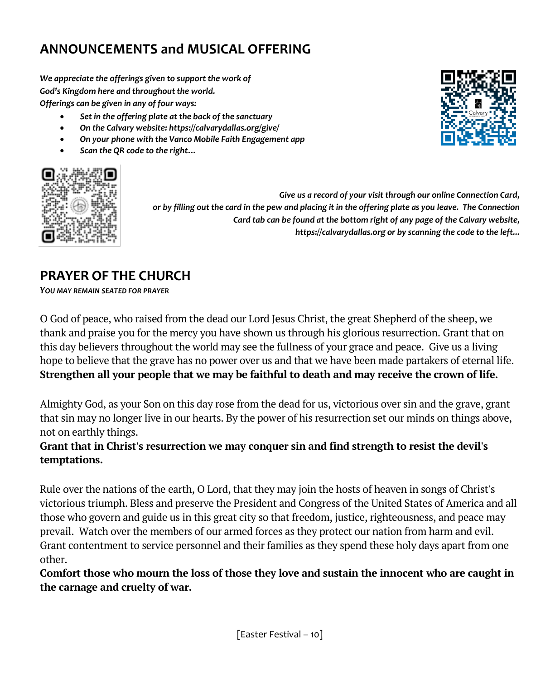### **ANNOUNCEMENTS and MUSICAL OFFERING**

*We appreciate the offerings given to support the work of God's Kingdom here and throughout the world. Offerings can be given in any of four ways:*

- *Set in the offering plate at the back of the sanctuary*
- *On the Calvary website: https://calvarydallas.org/give/*
- *On your phone with the Vanco Mobile Faith Engagement app*
- *Scan the QR code to the right…*



*Give us a record of your visit through our online Connection Card, or by filling out the card in the pew and placing it in the offering plate as you leave. The Connection Card tab can be found at the bottom right of any page of the Calvary website, https://calvarydallas.org or by scanning the code to the left...*

### **PRAYER OF THE CHURCH**

*YOU MAY REMAIN SEATED FOR PRAYER*

O God of peace, who raised from the dead our Lord Jesus Christ, the great Shepherd of the sheep, we thank and praise you for the mercy you have shown us through his glorious resurrection. Grant that on this day believers throughout the world may see the fullness of your grace and peace. Give us a living hope to believe that the grave has no power over us and that we have been made partakers of eternal life. **Strengthen all your people that we may be faithful to death and may receive the crown of life.** 

Almighty God, as your Son on this day rose from the dead for us, victorious over sin and the grave, grant that sin may no longer live in our hearts. By the power of his resurrection set our minds on things above, not on earthly things.

#### **Grant that in Christ's resurrection we may conquer sin and find strength to resist the devil's temptations.**

Rule over the nations of the earth, O Lord, that they may join the hosts of heaven in songs of Christ's victorious triumph. Bless and preserve the President and Congress of the United States of America and all those who govern and guide us in this great city so that freedom, justice, righteousness, and peace may prevail. Watch over the members of our armed forces as they protect our nation from harm and evil. Grant contentment to service personnel and their families as they spend these holy days apart from one other.

**Comfort those who mourn the loss of those they love and sustain the innocent who are caught in the carnage and cruelty of war.** 

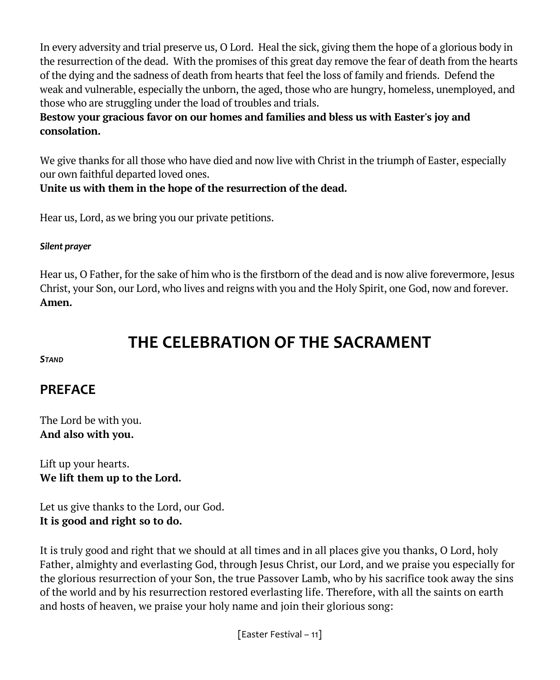In every adversity and trial preserve us, O Lord. Heal the sick, giving them the hope of a glorious body in the resurrection of the dead. With the promises of this great day remove the fear of death from the hearts of the dying and the sadness of death from hearts that feel the loss of family and friends. Defend the weak and vulnerable, especially the unborn, the aged, those who are hungry, homeless, unemployed, and those who are struggling under the load of troubles and trials.

#### **Bestow your gracious favor on our homes and families and bless us with Easter's joy and consolation.**

We give thanks for all those who have died and now live with Christ in the triumph of Easter, especially our own faithful departed loved ones.

#### **Unite us with them in the hope of the resurrection of the dead.**

Hear us, Lord, as we bring you our private petitions.

#### *Silent prayer*

Hear us, O Father, for the sake of him who is the firstborn of the dead and is now alive forevermore, Jesus Christ, your Son, our Lord, who lives and reigns with you and the Holy Spirit, one God, now and forever. **Amen.**

## **THE CELEBRATION OF THE SACRAMENT**

*STAND* 

### **PREFACE**

The Lord be with you. **And also with you.**

Lift up your hearts. **We lift them up to the Lord.** 

Let us give thanks to the Lord, our God. **It is good and right so to do.** 

It is truly good and right that we should at all times and in all places give you thanks, O Lord, holy Father, almighty and everlasting God, through Jesus Christ, our Lord, and we praise you especially for the glorious resurrection of your Son, the true Passover Lamb, who by his sacrifice took away the sins of the world and by his resurrection restored everlasting life. Therefore, with all the saints on earth and hosts of heaven, we praise your holy name and join their glorious song: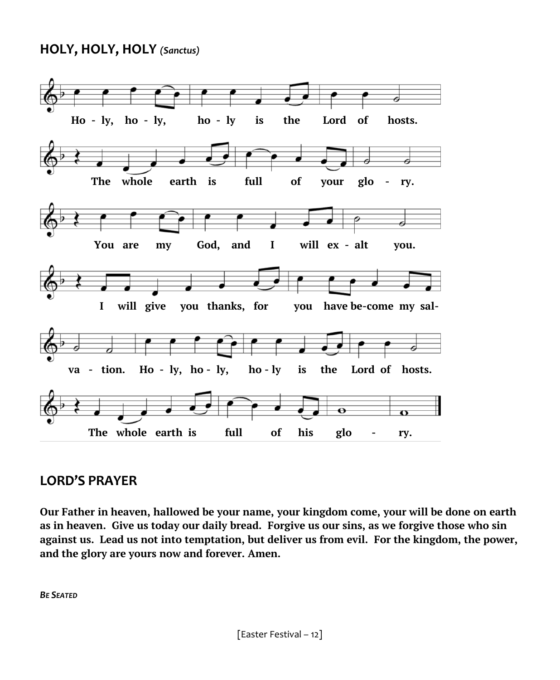#### **HOLY, HOLY, HOLY** *(Sanctus)*



#### **LORD'S PRAYER**

**Our Father in heaven, hallowed be your name, your kingdom come, your will be done on earth as in heaven. Give us today our daily bread. Forgive us our sins, as we forgive those who sin against us. Lead us not into temptation, but deliver us from evil. For the kingdom, the power, and the glory are yours now and forever. Amen.**

*BE SEATED*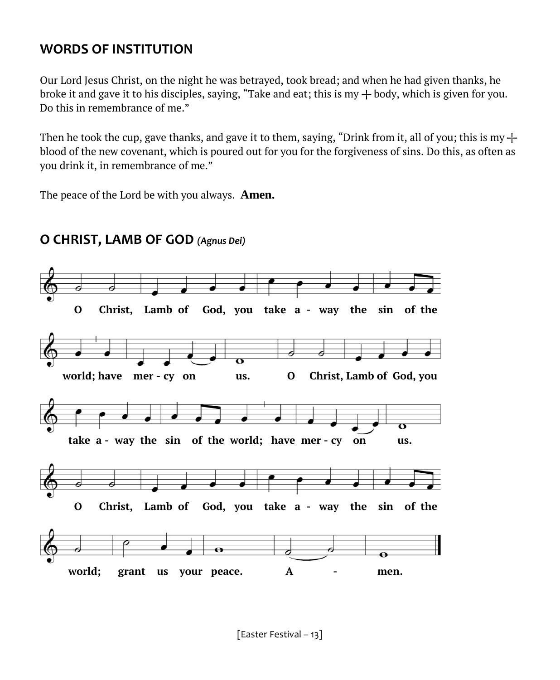### **WORDS OF INSTITUTION**

Our Lord Jesus Christ, on the night he was betrayed, took bread; and when he had given thanks, he broke it and gave it to his disciples, saying, "Take and eat; this is my  $+$  body, which is given for you. Do this in remembrance of me."

Then he took the cup, gave thanks, and gave it to them, saying, "Drink from it, all of you; this is my  $+$ blood of the new covenant, which is poured out for you for the forgiveness of sins. Do this, as often as you drink it, in remembrance of me."

The peace of the Lord be with you always. **Amen.** 



### **O CHRIST, LAMB OF GOD** *(Agnus Dei)*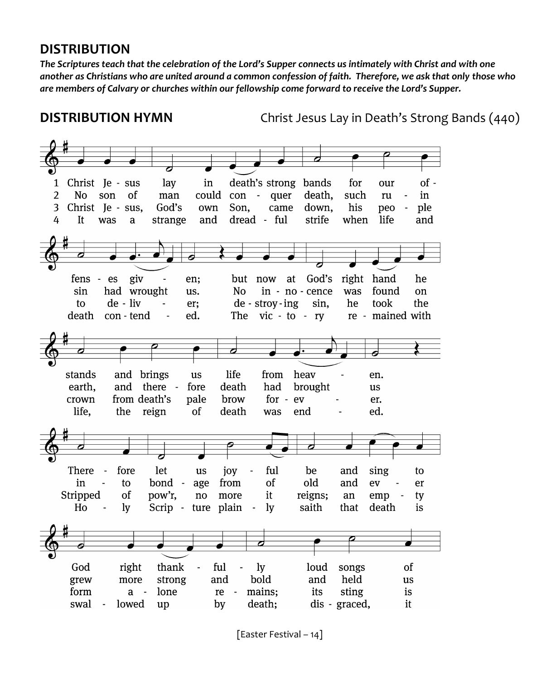#### **DISTRIBUTION**

*The Scriptures teach that the celebration of the Lord's Supper connects us intimately with Christ and with one another as Christians who are united around a common confession of faith. Therefore, we ask that only those who are members of Calvary or churches within our fellowship come forward to receive the Lord's Supper.*

**DISTRIBUTION HYMN** Christ Jesus Lay in Death's Strong Bands (440)



[Easter Festival – 14]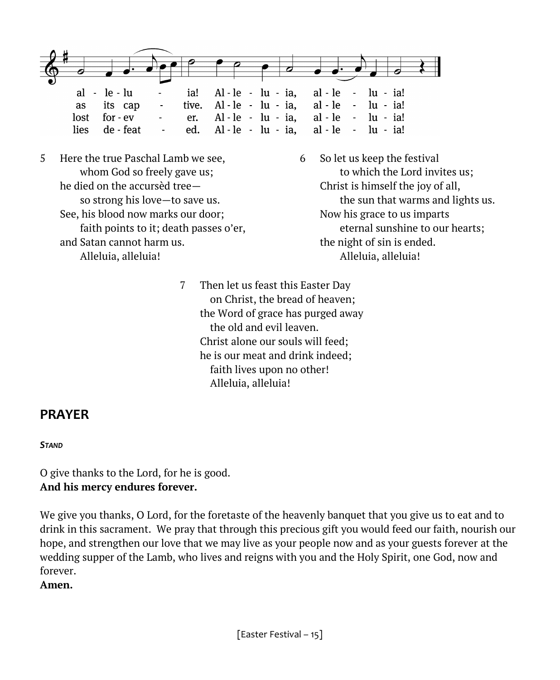

- 5 Here the true Paschal Lamb we see, 6 So let us keep the festival he died on the accursèd tree— Christ is himself the joy of all, See, his blood now marks our door; Now his grace to us imparts and Satan cannot harm us. the night of sin is ended. Alleluia, alleluia! (alleluia) alleluia alleluia alleluia alleluia alleluia alleluia alleluia alleluia allelui
	- whom God so freely gave us; the use of the Lord invites us; so strong his love—to save us. the sun that warms and lights us. faith points to it; death passes o'er, eternal sunshine to our hearts;
		- 7 Then let us feast this Easter Day on Christ, the bread of heaven; the Word of grace has purged away the old and evil leaven. Christ alone our souls will feed; he is our meat and drink indeed; faith lives upon no other! Alleluia, alleluia!

#### **PRAYER**

#### *STAND*

O give thanks to the Lord, for he is good. **And his mercy endures forever.**

We give you thanks, O Lord, for the foretaste of the heavenly banquet that you give us to eat and to drink in this sacrament. We pray that through this precious gift you would feed our faith, nourish our hope, and strengthen our love that we may live as your people now and as your guests forever at the wedding supper of the Lamb, who lives and reigns with you and the Holy Spirit, one God, now and forever.

**Amen.**